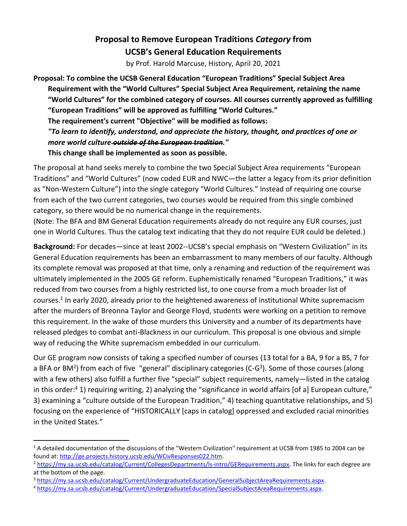## **Proposal to Remove European Traditions** *Category* **from UCSB's General Education Requirements**

by Prof. Harold Marcuse, History, April 20, 2021

**Proposal: To combine the UCSB General Education "European Traditions" Special Subject Area Requirement with the "World Cultures" Special Subject Area Requirement, retaining the name "World Cultures" for the combined category of courses. All courses currently approved as fulfilling "European Traditions" will be approved as fulfilling "World Cultures." The requirement's current "Objective" will be modified as follows:** 

*"To learn to identify, understand, and appreciate the history, thought, and practices of one or more world culture outside of the European tradition."*

**This change shall be implemented as soon as possible.**

The proposal at hand seeks merely to combine the two Special Subject Area requirements "European Traditions" and "World Cultures" (now coded EUR and NWC—the latter a legacy from its prior definition as "Non-Western Culture") into the single category "World Cultures." Instead of requiring one course from each of the two current categories, two courses would be required from this single combined category, so there would be no numerical change in the requirements.

(Note: The BFA and BM General Education requirements already do not require any EUR courses, just one in World Cultures. Thus the catalog text indicating that they do not require EUR could be deleted.)

**Background:** For decades—since at least 2002--UCSB's special emphasis on "Western Civilization" in its General Education requirements has been an embarrassment to many members of our faculty. Although its complete removal was proposed at that time, only a renaming and reduction of the requirement was ultimately implemented in the 2005 GE reform. Euphemistically renamed "European Traditions," it was reduced from two courses from a highly restricted list, to one course from a much broader list of courses.<sup>1</sup> In early 2020, already prior to the heightened awareness of institutional White supremacism after the murders of Breonna Taylor and George Floyd, students were working on a petition to remove this requirement. In the wake of those murders this University and a number of its departments have released pledges to combat anti-Blackness in our curriculum. This proposal is one obvious and simple way of reducing the White supremacism embedded in our curriculum.

Our GE program now consists of taking a specified number of courses (13 total for a BA, 9 for a BS, 7 for a BFA or BM<sup>2</sup>) from each of five "general" disciplinary categories (C-G<sup>3</sup>). Some of those courses (along with a few others) also fulfill a further five "special" subject requirements, namely—listed in the catalog in this order: <sup>4</sup> 1) requiring writing, 2) analyzing the "significance in world affairs [of a] European culture," 3) examining a "culture outside of the European Tradition," 4) teaching quantitative relationships, and 5) focusing on the experience of "HISTORICALLY [caps in catalog] oppressed and excluded racial minorities in the United States."

 $\overline{a}$ <sup>1</sup> A detailed documentation of the discussions of the "Western Civilization" requirement at UCSB from 1985 to 2004 can be found at: [http://ge.projects.history.ucsb.edu/WCivResponses022.htm.](http://ge.projects.history.ucsb.edu/WCivResponses022.htm) 

<sup>2</sup> [https://my.sa.ucsb.edu/catalog/Current/CollegesDepartments/ls-intro/GERequirements.aspx.](https://my.sa.ucsb.edu/catalog/Current/CollegesDepartments/ls-intro/GERequirements.aspx) The links for each degree are at the bottom of the page.

<sup>&</sup>lt;sup>3</sup> [https://my.sa.ucsb.edu/catalog/Current/UndergraduateEducation/GeneralSubjectAreaRequirements.aspx.](https://my.sa.ucsb.edu/catalog/Current/UndergraduateEducation/GeneralSubjectAreaRequirements.aspx)

<sup>4</sup> [https://my.sa.ucsb.edu/catalog/Current/UndergraduateEducation/SpecialSubjectAreaRequirements.aspx.](https://my.sa.ucsb.edu/catalog/Current/UndergraduateEducation/SpecialSubjectAreaRequirements.aspx)